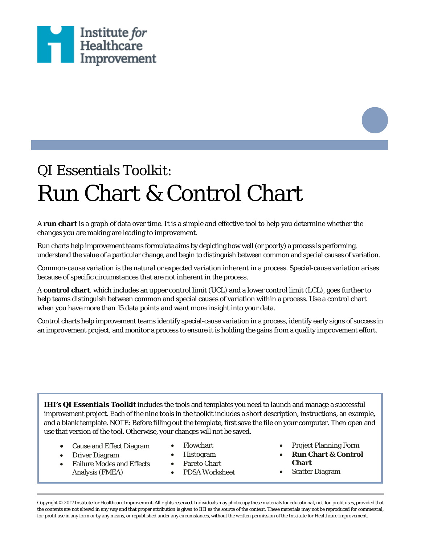

# QI Essentials Toolkit: Run Chart & Control Chart

A **run chart** is a graph of data over time. It is a simple and effective tool to help you determine whether the changes you are making are leading to improvement.

Run charts help improvement teams formulate aims by depicting how well (or poorly) a process is performing, understand the value of a particular change, and begin to distinguish between common and special causes of variation.

Common-cause variation is the natural or expected variation inherent in a process. Special-cause variation arises because of specific circumstances that are not inherent in the process.

A **control chart**, which includes an upper control limit (UCL) and a lower control limit (LCL), goes further to help teams distinguish between common and special causes of variation within a process. Use a control chart when you have more than 15 data points and want more insight into your data.

Control charts help improvement teams identify special-cause variation in a process, identify early signs of success in an improvement project, and monitor a process to ensure it is holding the gains from a quality improvement effort.

*IHI's QI Essentials Toolkit* includes the tools and templates you need to launch and manage a successful improvement project. Each of the nine tools in the toolkit includes a short description, instructions, an example, and a blank template. NOTE: Before filling out the template, first save the file on your computer. Then open and use that version of the tool. Otherwise, your changes will not be saved.

- Cause and Effect Diagram
- Flowchart
- Driver Diagram
- Failure Modes and Effects Analysis (FMEA)
- Histogram • Pareto Chart
- PDSA Worksheet
- Project Planning Form
- **Run Chart & Control Chart**
- Scatter Diagram

Copyright © 2017 Institute for Healthcare Improvement. All rights reserved. Individuals may photocopy these materials for educational, not-for-profit uses, provided that the contents are not altered in any way and that proper attribution is given to IHI as the source of the content. These materials may not be reproduced for commercial, for-profit use in any form or by any means, or republished under any circumstances, without the written permission of the Institute for Healthcare Improvement.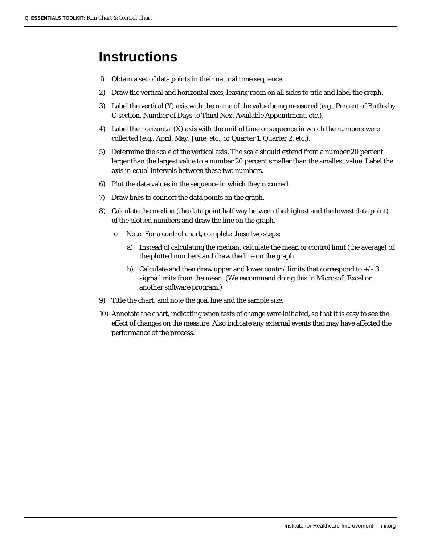#### **Instructions**

- 1) Obtain a set of data points in their natural time sequence.
- 2) Draw the vertical and horizontal axes, leaving room on all sides to title and label the graph.
- 3) Label the vertical (Y) axis with the name of the value being measured (e.g., Percent of Births by C-section, Number of Days to Third Next Available Appointment, etc.).
- 4) Label the horizontal  $(X)$  axis with the unit of time or sequence in which the numbers were collected (e.g., April, May, June, etc., or Quarter 1, Quarter 2, etc.).
- 5) Determine the scale of the vertical axis. The scale should extend from a number 20 percent larger than the largest value to a number 20 percent smaller than the smallest value. Label the axis in equal intervals between these two numbers.
- 6) Plot the data values in the sequence in which they occurred.
- 7) Draw lines to connect the data points on the graph.
- 8) Calculate the median (the data point half way between the highest and the lowest data point) of the plotted numbers and draw the line on the graph.
	- o Note: For a control chart, complete these two steps:
		- a) Instead of calculating the median, calculate the mean or control limit (the average) of the plotted numbers and draw the line on the graph.
		- b) Calculate and then draw upper and lower control limits that correspond to  $+/-3$ sigma limits from the mean. (We recommend doing this in Microsoft Excel or another software program.)
- 9) Title the chart, and note the goal line and the sample size.
- 10) Annotate the chart, indicating when tests of change were initiated, so that it is easy to see the effect of changes on the measure. Also indicate any external events that may have affected the performance of the process.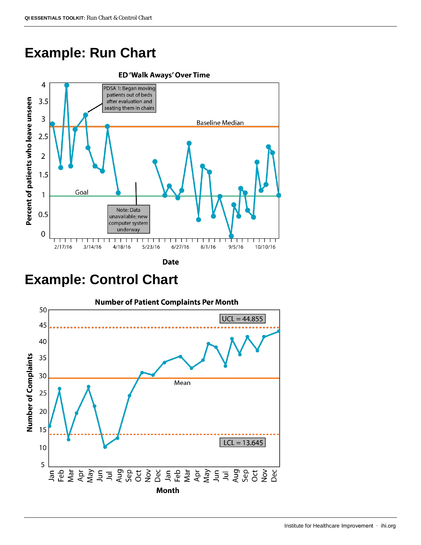### **Example: Run Chart**





### **Example: Control Chart**



#### Institute for Healthcare Improvement ∙ ihi.org